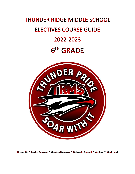# **THUNDER RIDGE MIDDLE SCHOOL ELECTIVES COURSE GUIDE** 2022-2023 6th GRADE



Dream Big \* Inspire Everyone \* Create a Roadmap \* Believe in Yourself \* Achieve \* Work Hard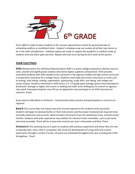

*Every effort is made to place students in the courses requested but cannot be guaranteed due to scheduling conflicts or enrollment limits. Student's schedules may not contain all of their top choices or be in the order of preference. Schedule repairs are made to support the academic or medical needs of students and only when space permits. Repairs will only occur during the first week of the quarter.*

## **YEAR ELECTIVES**

**AVID** (Advancement Via Individual Determination) AVID is a yearly college preparatory elective class for sixth, seventh and eighth grade students who desire higher academic achievement. AVID provides motivated students with skills needed to be successful in the rigorous middle and high school curriculum in preparation necessary for a college future. Students meet daily and receive instruction in areas such as writing, note taking, reading, organization, questioning, study skills, test taking, and college and career choices. Students interested in AVID have a 2.5- 3.5 grade point average, good school attendance & behavior, average or higher test scores in reading and math, and a willingness to commit to rigorous class work. Interested students must fill out an application and participate in an AVID interview for selection. (Year)

*If you want to take Band or Orchestra – Instrumental rental, practice and participation in concerts are required.*

**Band 6** This course does not require any prior musical experience for students to be successful. Students will begin to develop facility on their instruments and the proper fundamentals required to be musically expressive and accurate. Band includes instruments from the woodwind, brass, and percussion families. Students with prior experience may audition for extracurricular ensembles, such as jazz band and wind ensemble. There will be at least two concerts per year in December and May. (Year)

**Orchestra 6** This yearlong course is open to students with previous experience and those who are new to playing violin, viola, cello or string bass. We stress the development of string skills and musical expressions through a variety of music. Concerts are scheduled throughout the year including the CCSD Stringathon. (Year)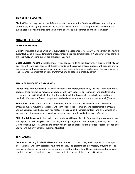## **SEMESTER ELECTIVE**

**Choir 6** This class explores all the different ways to use your voice. Students will learn how to sing in different styles as a group and learn the basics of reading music. The choir performs a concert in the evening for family and friends at the end of the quarter as the culminating project. (Semester)

### **QUARTER ELECTIVES**

#### **PERFORMING ARTS**

**Guitar I** This class is a beginning level guitar class. No experience is necessary. Development of effective guitar technique is stressed including chords, finger picking and improvisation. A variety of styles of music are taught. Nylon string guitars are provided. (Quarter)

**Vocal Musical Theatre 6** Theater is fun! In this course, students will discover how exciting creativity can be. They will learn basic aspects of theater arts. Using the creative process students will produce original pantomimes and acting scenes, gaining experience and confidence in performing. This experience will lead to enhanced presentation skills transferrable to all academic areas. (Quarter)

#### **PHYSICAL EDUCATION AND HEALTH**

**Indoor Physical Education 6** This course enhances the motor, intellectual, and social development of students through physical movement. Students will learn cooperation, team play, and sportsmanship through various activities including climbing, weight training, basketball, volleyball, polo and team handball. We integrate fitness components and wellness concepts into the activities as well. (Quarter)

**Team Sports 6** This course enhances the motor, intellectual, and social development of students through physical movement. Students will learn cooperation, team play, and sportsmanship through various activities including soccer, flag football, track and field, lacrosse, softball, and an Olympics unit. We integrate fitness components and wellness concepts into the activities as well. (Quarter)

**Skills for Adolescence** In this health class, students will learn life skills for navigating adolescence. We will explore the following skills: stress management, getting better sleep, empathy, building self-esteem, victim proofing, cyberbullying/online safety, healthy eating habits, refusal skills for tobacco, alcohol, and vaping, and puberty/personal hygiene. (Quarter)

#### **TECHNOLOGY**

**Computer Literacy 6 (REQUIRED)** Computer Literacy is a course designed to improve basic computer skills. Students will learn necessary keyboarding skills. The goal is to achieve mastery of typing skills to improve proficiency when using the computer. In addition, students will learn basic computer concepts and Internet safety. Students have the opportunity to test out of this course. (Quarter)